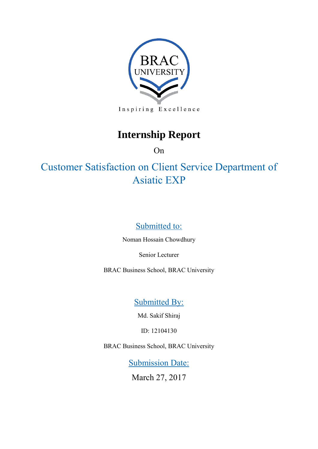

Inspiring Excellence

# **Internship Report**

On

Customer Satisfaction on Client Service Department of Asiatic EXP

# Submitted to:

Noman Hossain Chowdhury

Senior Lecturer

BRAC Business School, BRAC University

Submitted By:

Md. Sakif Shiraj

ID: 12104130

BRAC Business School, BRAC University

**Submission Date:** 

March 27, 2017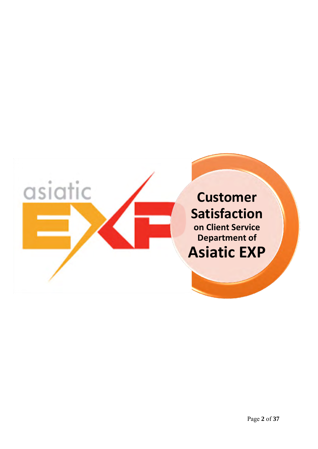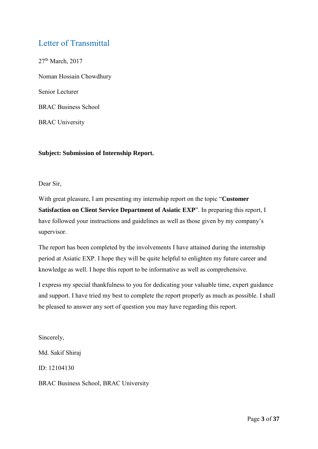# Letter of Transmittal

27<sup>th</sup> March, 2017 Noman Hossain Chowdhury Senior Lecturer BRAC Business School BRAC University

**Subject: Submission of Internship Report.** 

Dear Sir,

With great pleasure, I am presenting my internship report on the topic "**Customer Satisfaction on Client Service Department of Asiatic EXP**". In preparing this report, I have followed your instructions and guidelines as well as those given by my company's supervisor.

The report has been completed by the involvements I have attained during the internship period at Asiatic EXP. I hope they will be quite helpful to enlighten my future career and knowledge as well. I hope this report to be informative as well as comprehensive.

I express my special thankfulness to you for dedicating your valuable time, expert guidance and support. I have tried my best to complete the report properly as much as possible. I shall be pleased to answer any sort of question you may have regarding this report.

Sincerely, Md. Sakif Shiraj ID: 12104130 BRAC Business School, BRAC University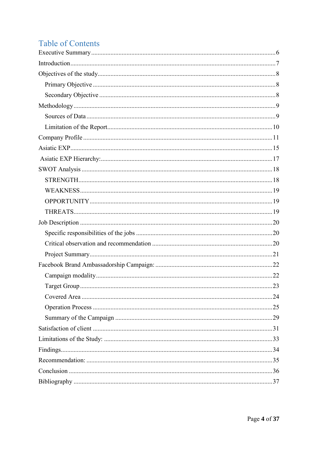# **Table of Contents**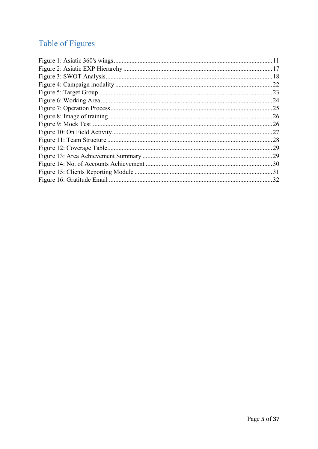# Table of Figures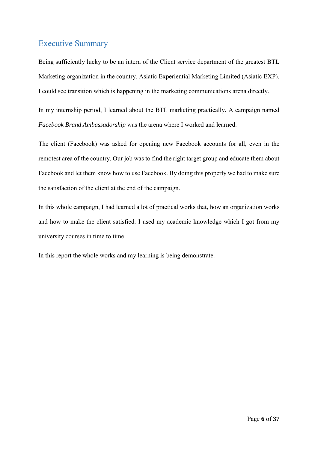# <span id="page-5-0"></span>Executive Summary

Being sufficiently lucky to be an intern of the Client service department of the greatest BTL Marketing organization in the country, Asiatic Experiential Marketing Limited (Asiatic EXP). I could see transition which is happening in the marketing communications arena directly.

In my internship period, I learned about the BTL marketing practically. A campaign named *Facebook Brand Ambassadorship* was the arena where I worked and learned.

The client (Facebook) was asked for opening new Facebook accounts for all, even in the remotest area of the country. Our job was to find the right target group and educate them about Facebook and let them know how to use Facebook. By doing this properly we had to make sure the satisfaction of the client at the end of the campaign.

In this whole campaign, I had learned a lot of practical works that, how an organization works and how to make the client satisfied. I used my academic knowledge which I got from my university courses in time to time.

In this report the whole works and my learning is being demonstrate.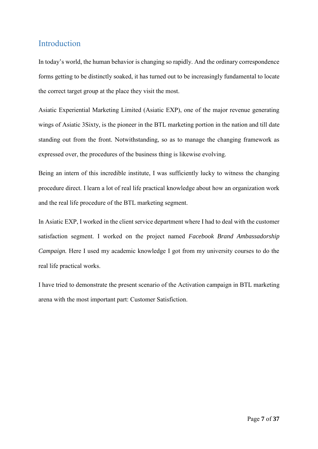# <span id="page-6-0"></span>Introduction

In today's world, the human behavior is changing so rapidly. And the ordinary correspondence forms getting to be distinctly soaked, it has turned out to be increasingly fundamental to locate the correct target group at the place they visit the most.

Asiatic Experiential Marketing Limited (Asiatic EXP), one of the major revenue generating wings of Asiatic 3Sixty, is the pioneer in the BTL marketing portion in the nation and till date standing out from the front. Notwithstanding, so as to manage the changing framework as expressed over, the procedures of the business thing is likewise evolving.

Being an intern of this incredible institute, I was sufficiently lucky to witness the changing procedure direct. I learn a lot of real life practical knowledge about how an organization work and the real life procedure of the BTL marketing segment.

In Asiatic EXP, I worked in the client service department where I had to deal with the customer satisfaction segment. I worked on the project named *Facebook Brand Ambassadorship Campaign.* Here I used my academic knowledge I got from my university courses to do the real life practical works.

I have tried to demonstrate the present scenario of the Activation campaign in BTL marketing arena with the most important part: Customer Satisfiction.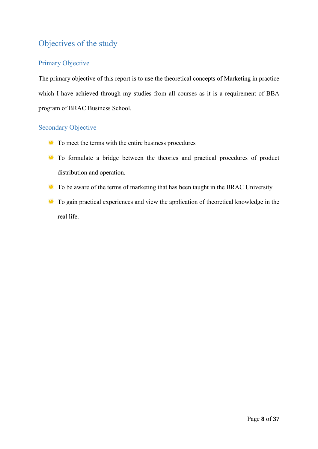# <span id="page-7-0"></span>Objectives of the study

# <span id="page-7-1"></span>Primary Objective

The primary objective of this report is to use the theoretical concepts of Marketing in practice which I have achieved through my studies from all courses as it is a requirement of BBA program of BRAC Business School.

# <span id="page-7-2"></span>Secondary Objective

- $\bullet$  To meet the terms with the entire business procedures
- To formulate a bridge between the theories and practical procedures of product distribution and operation.
- To be aware of the terms of marketing that has been taught in the BRAC University
- To gain practical experiences and view the application of theoretical knowledge in the real life.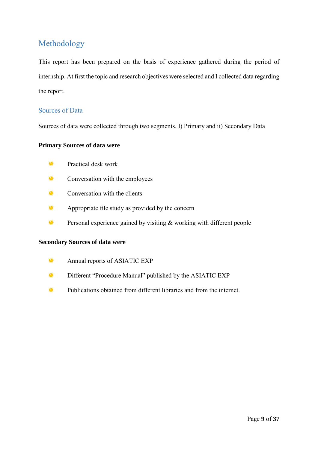# <span id="page-8-0"></span>Methodology

This report has been prepared on the basis of experience gathered during the period of internship. At first the topic and research objectives were selected and I collected data regarding the report.

## <span id="page-8-1"></span>Sources of Data

Sources of data were collected through two segments. I) Primary and ii) Secondary Data

### **Primary Sources of data were**

- 稳 Practical desk work
- 虄 Conversation with the employees
- ۰ Conversation with the clients
- ۰ Appropriate file study as provided by the concern
- ۰ Personal experience gained by visiting & working with different people

## **Secondary Sources of data were**

- Ø. Annual reports of ASIATIC EXP
- ۰ Different "Procedure Manual" published by the ASIATIC EXP
- ۰ Publications obtained from different libraries and from the internet.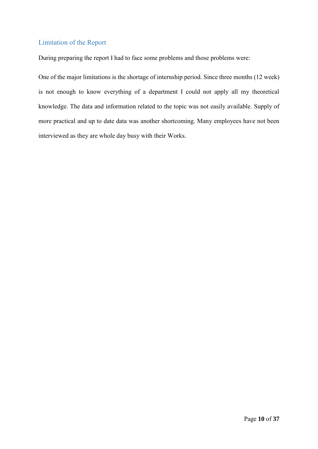# <span id="page-9-0"></span>Limitation of the Report

During preparing the report I had to face some problems and those problems were:

One of the major limitations is the shortage of internship period. Since three months (12 week) is not enough to know everything of a department I could not apply all my theoretical knowledge. The data and information related to the topic was not easily available. Supply of more practical and up to date data was another shortcoming. Many employees have not been interviewed as they are whole day busy with their Works.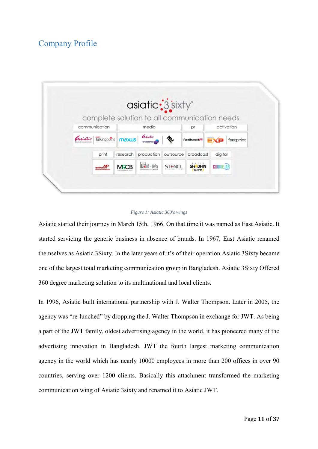# <span id="page-10-0"></span>Company Profile



#### *Figure 1: Asiatic 360's wings*

<span id="page-10-1"></span>Asiatic started their journey in March 15th, 1966. On that time it was named as East Asiatic. It started servicing the generic business in absence of brands. In 1967, East Asiatic renamed themselves as Asiatic 3Sixty. In the later years of it's of their operation Asiatic 3Sixty became one of the largest total marketing communication group in Bangladesh. Asiatic 3Sixty Offered 360 degree marketing solution to its multinational and local clients.

In 1996, Asiatic built international partnership with J. Walter Thompson. Later in 2005, the agency was "re-lunched" by dropping the J. Walter Thompson in exchange for JWT. As being a part of the JWT family, oldest advertising agency in the world, it has pioneered many of the advertising innovation in Bangladesh. JWT the fourth largest marketing communication agency in the world which has nearly 10000 employees in more than 200 offices in over 90 countries, serving over 1200 clients. Basically this attachment transformed the marketing communication wing of Asiatic 3sixty and renamed it to Asiatic JWT.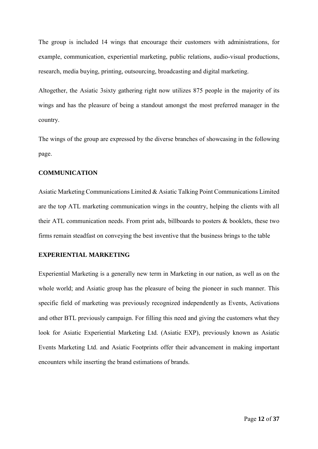The group is included 14 wings that encourage their customers with administrations, for example, communication, experiential marketing, public relations, audio-visual productions, research, media buying, printing, outsourcing, broadcasting and digital marketing.

Altogether, the Asiatic 3sixty gathering right now utilizes 875 people in the majority of its wings and has the pleasure of being a standout amongst the most preferred manager in the country.

The wings of the group are expressed by the diverse branches of showcasing in the following page.

### **COMMUNICATION**

Asiatic Marketing Communications Limited & Asiatic Talking Point Communications Limited are the top ATL marketing communication wings in the country, helping the clients with all their ATL communication needs. From print ads, billboards to posters & booklets, these two firms remain steadfast on conveying the best inventive that the business brings to the table

### **EXPERIENTIAL MARKETING**

Experiential Marketing is a generally new term in Marketing in our nation, as well as on the whole world; and Asiatic group has the pleasure of being the pioneer in such manner. This specific field of marketing was previously recognized independently as Events, Activations and other BTL previously campaign. For filling this need and giving the customers what they look for Asiatic Experiential Marketing Ltd. (Asiatic EXP), previously known as Asiatic Events Marketing Ltd. and Asiatic Footprints offer their advancement in making important encounters while inserting the brand estimations of brands.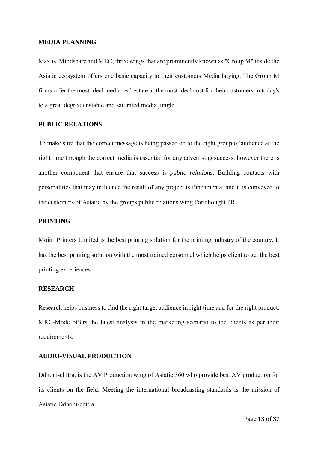#### **MEDIA PLANNING**

Maxus, Mindshare and MEC, three wings that are prominently known as "Group M" inside the Asiatic ecosystem offers one basic capacity to their customers Media buying. The Group M firms offer the most ideal media real estate at the most ideal cost for their customers in today's to a great degree unstable and saturated media jungle.

#### **PUBLIC RELATIONS**

To make sure that the correct message is being passed on to the right group of audience at the right time through the correct media is essential for any advertising success, however there is another component that ensure that success is *public relations*. Building contacts with personalities that may influence the result of any project is fundamental and it is conveyed to the customers of Asiatic by the groups public relations wing Forethought PR.

### **PRINTING**

Moitri Printers Limited is the best printing solution for the printing industry of the country. It has the best printing solution with the most trained personnel which helps client to get the best printing experiences.

### **RESEARCH**

Research helps business to find the right target audience in right time and for the right product. MRC-Mode offers the latest analysis in the marketing scenario to the clients as per their requirements.

#### **AUDIO-VISUAL PRODUCTION**

Ddhoni-chitra, is the AV Production wing of Asiatic 360 who provide best AV production for its clients on the field. Meeting the international broadcasting standards is the mission of Asiatic Ddhoni-chitra.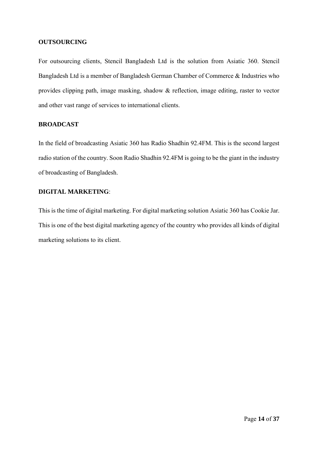#### **OUTSOURCING**

For outsourcing clients, Stencil Bangladesh Ltd is the solution from Asiatic 360. Stencil Bangladesh Ltd is a member of Bangladesh German Chamber of Commerce & Industries who provides clipping path, image masking, shadow & reflection, image editing, raster to vector and other vast range of services to international clients.

#### **BROADCAST**

In the field of broadcasting Asiatic 360 has Radio Shadhin 92.4FM. This is the second largest radio station of the country. Soon Radio Shadhin 92.4FM is going to be the giant in the industry of broadcasting of Bangladesh.

### **DIGITAL MARKETING**:

This is the time of digital marketing. For digital marketing solution Asiatic 360 has Cookie Jar. This is one of the best digital marketing agency of the country who provides all kinds of digital marketing solutions to its client.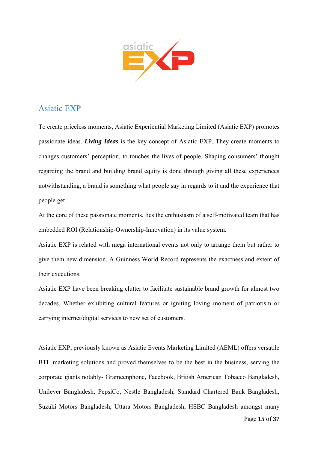

# <span id="page-14-0"></span>Asiatic EXP

To create priceless moments, Asiatic Experiential Marketing Limited (Asiatic EXP) promotes passionate ideas. *Living Ideas* is the key concept of Asiatic EXP. They create moments to changes customers' perception, to touches the lives of people. Shaping consumers' thought regarding the brand and building brand equity is done through giving all these experiences notwithstanding, a brand is something what people say in regards to it and the experience that people get.

At the core of these passionate moments, lies the enthusiasm of a self-motivated team that has embedded ROI (Relationship-Ownership-Innovation) in its value system.

Asiatic EXP is related with mega international events not only to arrange them but rather to give them new dimension. A Guinness World Record represents the exactness and extent of their executions.

Asiatic EXP have been breaking clutter to facilitate sustainable brand growth for almost two decades. Whether exhibiting cultural features or igniting loving moment of patriotism or carrying internet/digital services to new set of customers.

Asiatic EXP, previously known as Asiatic Events Marketing Limited (AEML) offers versatile BTL marketing solutions and proved themselves to be the best in the business, serving the corporate giants notably- Grameenphone, Facebook, British American Tobacco Bangladesh, Unilever Bangladesh, PepsiCo, Nestle Bangladesh, Standard Chartered Bank Bangladesh, Suzuki Motors Bangladesh, Uttara Motors Bangladesh, HSBC Bangladesh amongst many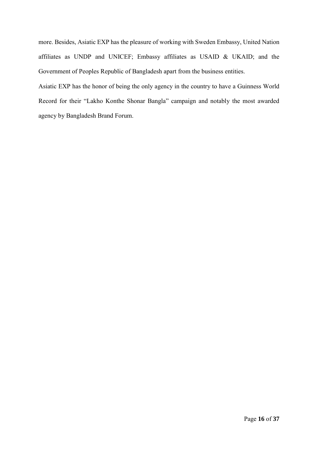more. Besides, Asiatic EXP has the pleasure of working with Sweden Embassy, United Nation affiliates as UNDP and UNICEF; Embassy affiliates as USAID & UKAID; and the Government of Peoples Republic of Bangladesh apart from the business entities.

Asiatic EXP has the honor of being the only agency in the country to have a Guinness World Record for their "Lakho Konthe Shonar Bangla" campaign and notably the most awarded agency by Bangladesh Brand Forum.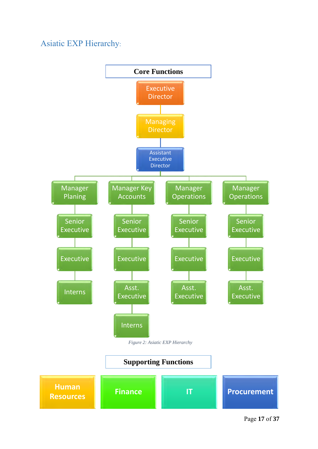# <span id="page-16-0"></span>Asiatic EXP Hierarchy:



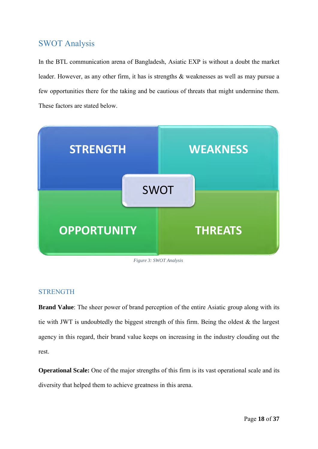# <span id="page-17-0"></span>SWOT Analysis

In the BTL communication arena of Bangladesh, Asiatic EXP is without a doubt the market leader. However, as any other firm, it has is strengths & weaknesses as well as may pursue a few opportunities there for the taking and be cautious of threats that might undermine them. These factors are stated below.



*Figure 3: SWOT Analysis*

# <span id="page-17-1"></span>**STRENGTH**

**Brand Value**: The sheer power of brand perception of the entire Asiatic group along with its tie with JWT is undoubtedly the biggest strength of this firm. Being the oldest & the largest agency in this regard, their brand value keeps on increasing in the industry clouding out the rest.

**Operational Scale:** One of the major strengths of this firm is its vast operational scale and its diversity that helped them to achieve greatness in this arena.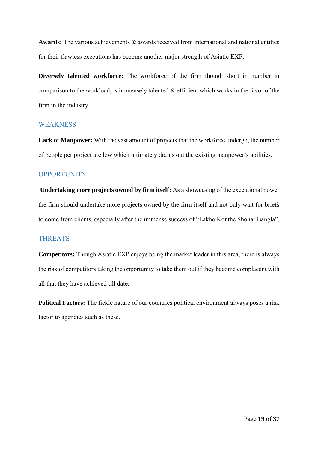**Awards:** The various achievements & awards received from international and national entities for their flawless executions has become another major strength of Asiatic EXP.

**Diversely talented workforce:** The workforce of the firm though short in number in comparison to the workload, is immensely talented & efficient which works in the favor of the firm in the industry.

#### <span id="page-18-0"></span>**WEAKNESS**

**Lack of Manpower:** With the vast amount of projects that the workforce undergo, the number of people per project are low which ultimately drains out the existing manpower's abilities.

### <span id="page-18-1"></span>**OPPORTUNITY**

**Undertaking more projects owned by firm itself:** As a showcasing of the executional power the firm should undertake more projects owned by the firm itself and not only wait for briefs to come from clients, especially after the immense success of "Lakho Konthe Shonar Bangla".

### <span id="page-18-2"></span>**THREATS**

**Competitors:** Though Asiatic EXP enjoys being the market leader in this area, there is always the risk of competitors taking the opportunity to take them out if they become complacent with all that they have achieved till date.

**Political Factors:** The fickle nature of our countries political environment always poses a risk factor to agencies such as these.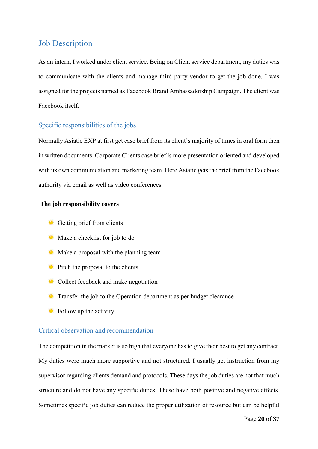# <span id="page-19-0"></span>Job Description

As an intern, I worked under client service. Being on Client service department, my duties was to communicate with the clients and manage third party vendor to get the job done. I was assigned for the projects named as Facebook Brand Ambassadorship Campaign. The client was Facebook itself.

### <span id="page-19-1"></span>Specific responsibilities of the jobs

Normally Asiatic EXP at first get case brief from its client's majority of times in oral form then in written documents. Corporate Clients case brief is more presentation oriented and developed with its own communication and marketing team. Here Asiatic gets the brief from the Facebook authority via email as well as video conferences.

#### **The job responsibility covers**

- Getting brief from clients
- Make a checklist for job to do
- **Make a proposal with the planning team**
- **Pitch the proposal to the clients**
- Collect feedback and make negotiation
- Transfer the job to the Operation department as per budget clearance
- Follow up the activity

### <span id="page-19-2"></span>Critical observation and recommendation

The competition in the market is so high that everyone has to give their best to get any contract. My duties were much more supportive and not structured. I usually get instruction from my supervisor regarding clients demand and protocols. These days the job duties are not that much structure and do not have any specific duties. These have both positive and negative effects. Sometimes specific job duties can reduce the proper utilization of resource but can be helpful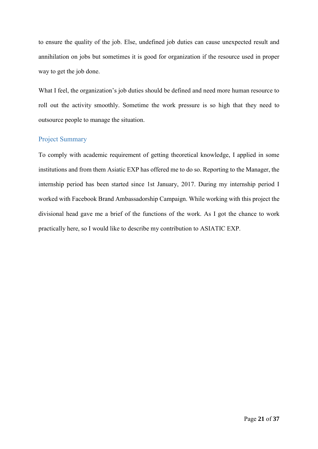to ensure the quality of the job. Else, undefined job duties can cause unexpected result and annihilation on jobs but sometimes it is good for organization if the resource used in proper way to get the job done.

What I feel, the organization's job duties should be defined and need more human resource to roll out the activity smoothly. Sometime the work pressure is so high that they need to outsource people to manage the situation.

## <span id="page-20-0"></span>Project Summary

To comply with academic requirement of getting theoretical knowledge, I applied in some institutions and from them Asiatic EXP has offered me to do so. Reporting to the Manager, the internship period has been started since 1st January, 2017. During my internship period I worked with Facebook Brand Ambassadorship Campaign. While working with this project the divisional head gave me a brief of the functions of the work. As I got the chance to work practically here, so I would like to describe my contribution to ASIATIC EXP.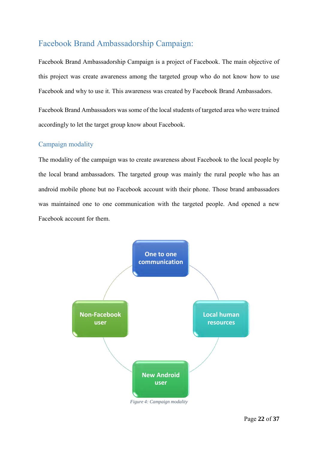# <span id="page-21-0"></span>Facebook Brand Ambassadorship Campaign:

Facebook Brand Ambassadorship Campaign is a project of Facebook. The main objective of this project was create awareness among the targeted group who do not know how to use Facebook and why to use it. This awareness was created by Facebook Brand Ambassadors.

Facebook Brand Ambassadors was some of the local students of targeted area who were trained accordingly to let the target group know about Facebook.

## <span id="page-21-1"></span>Campaign modality

The modality of the campaign was to create awareness about Facebook to the local people by the local brand ambassadors. The targeted group was mainly the rural people who has an android mobile phone but no Facebook account with their phone. Those brand ambassadors was maintained one to one communication with the targeted people. And opened a new Facebook account for them.

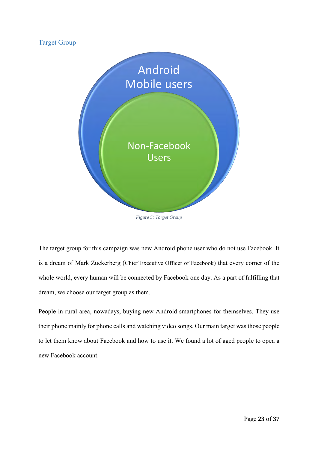# <span id="page-22-0"></span>Target Group



*Figure 5: Target Group*

The target group for this campaign was new Android phone user who do not use Facebook. It is a dream of Mark Zuckerberg (Chief Executive Officer of Facebook) that every corner of the whole world, every human will be connected by Facebook one day. As a part of fulfilling that dream, we choose our target group as them.

People in rural area, nowadays, buying new Android smartphones for themselves. They use their phone mainly for phone calls and watching video songs. Our main target was those people to let them know about Facebook and how to use it. We found a lot of aged people to open a new Facebook account.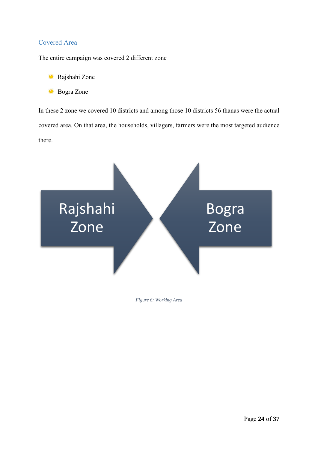# <span id="page-23-0"></span>Covered Area

The entire campaign was covered 2 different zone

- Rajshahi Zone 虄
- 虄 Bogra Zone

In these 2 zone we covered 10 districts and among those 10 districts 56 thanas were the actual covered area. On that area, the households, villagers, farmers were the most targeted audience there.



<span id="page-23-1"></span>*Figure 6: Working Area*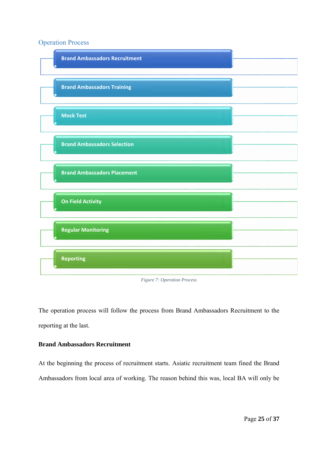# <span id="page-24-0"></span>Operation Process



*Figure 7: Operation Process*

The operation process will follow the process from Brand Ambassadors Recruitment to the reporting at the last.

## **Brand Ambassadors Recruitment**

At the beginning the process of recruitment starts. Asiatic recruitment team fined the Brand Ambassadors from local area of working. The reason behind this was, local BA will only be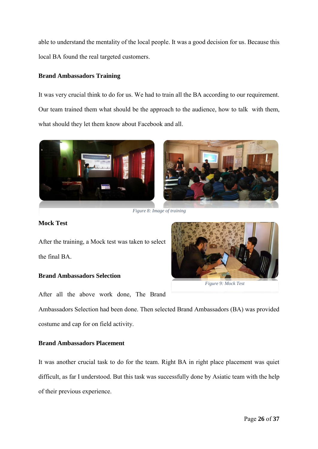able to understand the mentality of the local people. It was a good decision for us. Because this local BA found the real targeted customers.

### **Brand Ambassadors Training**

It was very crucial think to do for us. We had to train all the BA according to our requirement. Our team trained them what should be the approach to the audience, how to talk with them, what should they let them know about Facebook and all.



*Figure 8: Image of training*

#### **Mock Test**

After the training, a Mock test was taken to select the final BA.

### **Brand Ambassadors Selection**

After all the above work done, The Brand

Ambassadors Selection had been done. Then selected Brand Ambassadors (BA) was provided costume and cap for on field activity.

### **Brand Ambassadors Placement**

It was another crucial task to do for the team. Right BA in right place placement was quiet difficult, as far I understood. But this task was successfully done by Asiatic team with the help of their previous experience.



*Figure 9: Mock Test*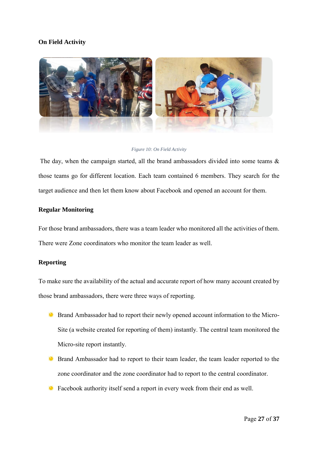## **On Field Activity**



#### *Figure 10: On Field Activity*

<span id="page-26-0"></span>The day, when the campaign started, all the brand ambassadors divided into some teams  $\&$ those teams go for different location. Each team contained 6 members. They search for the target audience and then let them know about Facebook and opened an account for them.

#### **Regular Monitoring**

For those brand ambassadors, there was a team leader who monitored all the activities of them. There were Zone coordinators who monitor the team leader as well.

### **Reporting**

To make sure the availability of the actual and accurate report of how many account created by those brand ambassadors, there were three ways of reporting.

- **Brand Ambassador had to report their newly opened account information to the Micro-**Site (a website created for reporting of them) instantly. The central team monitored the Micro-site report instantly.
- **Brand Ambassador had to report to their team leader, the team leader reported to the** zone coordinator and the zone coordinator had to report to the central coordinator.
- **Facebook authority itself send a report in every week from their end as well.**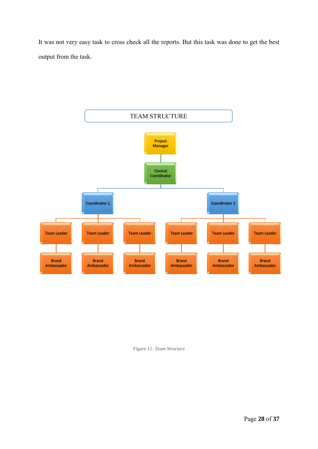It was not very easy task to cross check all the reports. But this task was done to get the best output from the task.



<span id="page-27-0"></span>*Figure 11: Team Structure*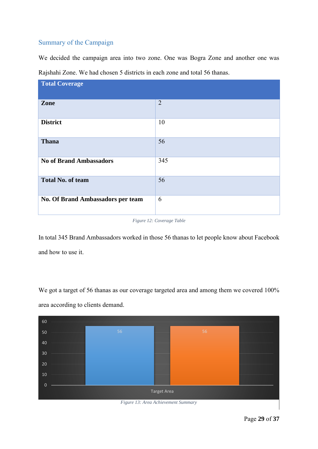# <span id="page-28-0"></span>Summary of the Campaign

We decided the campaign area into two zone. One was Bogra Zone and another one was Rajshahi Zone. We had chosen 5 districts in each zone and total 56 thanas.

| <b>Total Coverage</b>             |                |
|-----------------------------------|----------------|
| Zone                              | $\overline{2}$ |
| <b>District</b>                   | 10             |
| <b>Thana</b>                      | 56             |
| <b>No of Brand Ambassadors</b>    | 345            |
| <b>Total No. of team</b>          | 56             |
| No. Of Brand Ambassadors per team | 6              |

#### <span id="page-28-1"></span>*Figure 12: Coverage Table*

In total 345 Brand Ambassadors worked in those 56 thanas to let people know about Facebook and how to use it.

We got a target of 56 thanas as our coverage targeted area and among them we covered 100% area according to clients demand.



*Figure 13: Area Achievement Summary*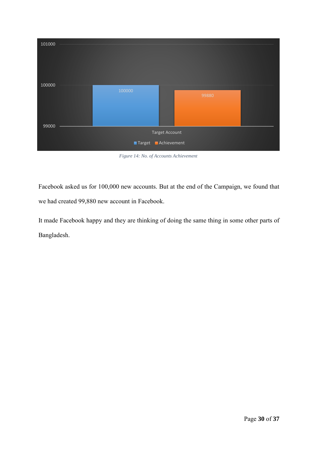

*Figure 14: No. of Accounts Achievement*

Facebook asked us for 100,000 new accounts. But at the end of the Campaign, we found that we had created 99,880 new account in Facebook.

It made Facebook happy and they are thinking of doing the same thing in some other parts of Bangladesh.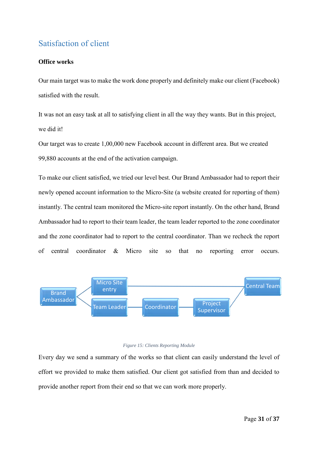# <span id="page-30-0"></span>Satisfaction of client

#### **Office works**

Our main target was to make the work done properly and definitely make our client (Facebook) satisfied with the result.

It was not an easy task at all to satisfying client in all the way they wants. But in this project, we did it!

Our target was to create 1,00,000 new Facebook account in different area. But we created 99,880 accounts at the end of the activation campaign.

To make our client satisfied, we tried our level best. Our Brand Ambassador had to report their newly opened account information to the Micro-Site (a website created for reporting of them) instantly. The central team monitored the Micro-site report instantly. On the other hand, Brand Ambassador had to report to their team leader, the team leader reported to the zone coordinator and the zone coordinator had to report to the central coordinator. Than we recheck the report of central coordinator & Micro site so that no reporting error occurs.



#### *Figure 15: Clients Reporting Module*

<span id="page-30-1"></span>Every day we send a summary of the works so that client can easily understand the level of effort we provided to make them satisfied. Our client got satisfied from than and decided to provide another report from their end so that we can work more properly.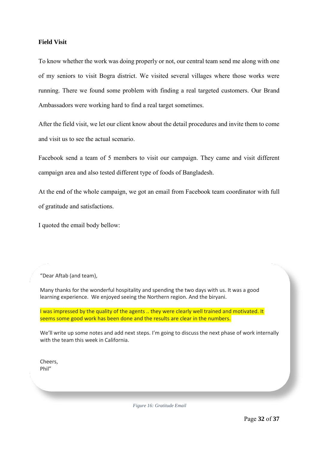### **Field Visit**

To know whether the work was doing properly or not, our central team send me along with one of my seniors to visit Bogra district. We visited several villages where those works were running. There we found some problem with finding a real targeted customers. Our Brand Ambassadors were working hard to find a real target sometimes.

After the field visit, we let our client know about the detail procedures and invite them to come and visit us to see the actual scenario.

Facebook send a team of 5 members to visit our campaign. They came and visit different campaign area and also tested different type of foods of Bangladesh.

At the end of the whole campaign, we got an email from Facebook team coordinator with full of gratitude and satisfactions.

I quoted the email body bellow:

"Dear Aftab (and team),

Many thanks for the wonderful hospitality and spending the two days with us. It was a good learning experience. We enjoyed seeing the Northern region. And the biryani.

I was impressed by the quality of the agents .. they were clearly well trained and motivated. It seems some good work has been done and the results are clear in the numbers.

We'll write up some notes and add next steps. I'm going to discuss the next phase of work internally with the team this week in California.

Cheers, Phil"

*Figure 16: Gratitude Email*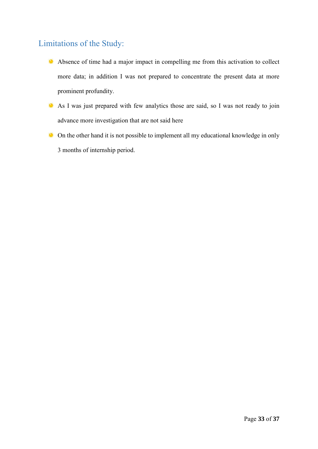# <span id="page-32-0"></span>Limitations of the Study:

- Absence of time had a major impact in compelling me from this activation to collect more data; in addition I was not prepared to concentrate the present data at more prominent profundity.
- As I was just prepared with few analytics those are said, so I was not ready to join advance more investigation that are not said here
- **Con the other hand it is not possible to implement all my educational knowledge in only** 3 months of internship period.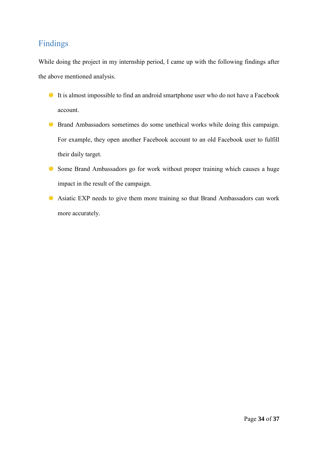# <span id="page-33-0"></span>Findings

While doing the project in my internship period, I came up with the following findings after the above mentioned analysis.

- It is almost impossible to find an android smartphone user who do not have a Facebook account.
- **Brand Ambassadors sometimes do some unethical works while doing this campaign.** For example, they open another Facebook account to an old Facebook user to fulfill their daily target.
- Some Brand Ambassadors go for work without proper training which causes a huge impact in the result of the campaign.
- Asiatic EXP needs to give them more training so that Brand Ambassadors can work more accurately.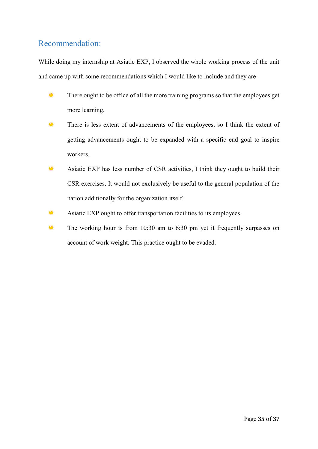# <span id="page-34-0"></span>Recommendation:

While doing my internship at Asiatic EXP, I observed the whole working process of the unit and came up with some recommendations which I would like to include and they are-

- ۰ There ought to be office of all the more training programs so that the employees get more learning.
- 森 There is less extent of advancements of the employees, so I think the extent of getting advancements ought to be expanded with a specific end goal to inspire workers.
- Ö Asiatic EXP has less number of CSR activities, I think they ought to build their CSR exercises. It would not exclusively be useful to the general population of the nation additionally for the organization itself.
- ۰ Asiatic EXP ought to offer transportation facilities to its employees.
- ۰ The working hour is from 10:30 am to 6:30 pm yet it frequently surpasses on account of work weight. This practice ought to be evaded.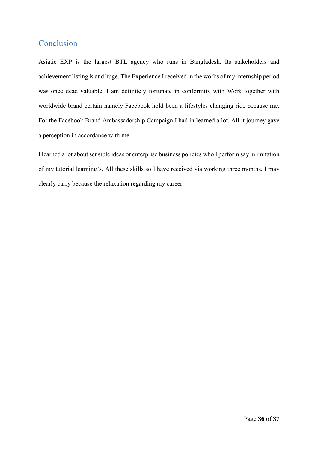# <span id="page-35-0"></span>Conclusion

Asiatic EXP is the largest BTL agency who runs in Bangladesh. Its stakeholders and achievement listing is and huge. The Experience I received in the works of my internship period was once dead valuable. I am definitely fortunate in conformity with Work together with worldwide brand certain namely Facebook hold been a lifestyles changing ride because me. For the Facebook Brand Ambassadorship Campaign I had in learned a lot. All it journey gave a perception in accordance with me.

I learned a lot about sensible ideas or enterprise business policies who I perform say in imitation of my tutorial learning's. All these skills so I have received via working three months, I may clearly carry because the relaxation regarding my career.